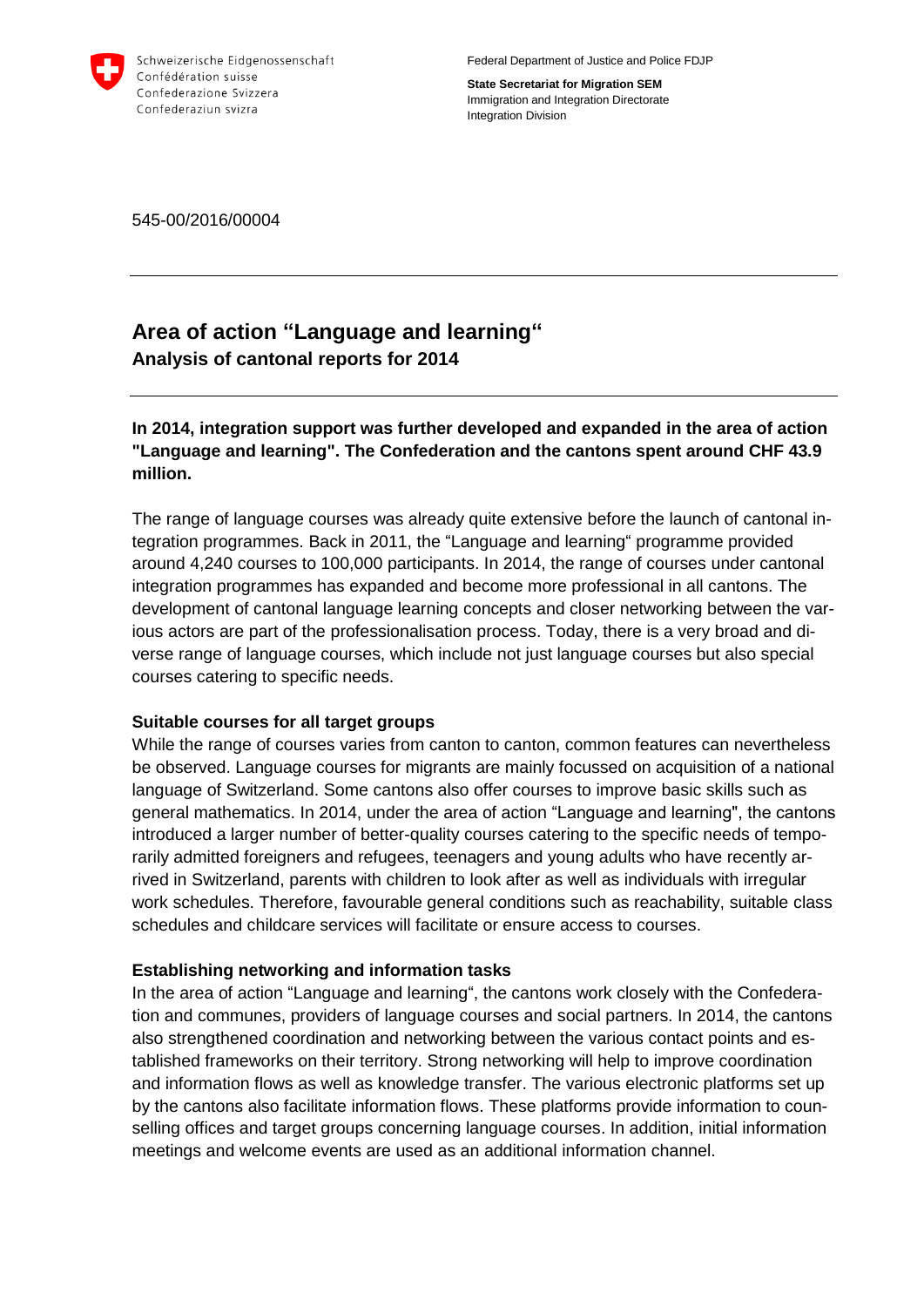

Federal Department of Justice and Police FDJP

**State Secretariat for Migration SEM** Immigration and Integration Directorate Integration Division

545-00/2016/00004

# **Area of action "Language and learning" Analysis of cantonal reports for 2014**

**In 2014, integration support was further developed and expanded in the area of action "Language and learning". The Confederation and the cantons spent around CHF 43.9 million.**

The range of language courses was already quite extensive before the launch of cantonal integration programmes. Back in 2011, the "Language and learning" programme provided around 4,240 courses to 100,000 participants. In 2014, the range of courses under cantonal integration programmes has expanded and become more professional in all cantons. The development of cantonal language learning concepts and closer networking between the various actors are part of the professionalisation process. Today, there is a very broad and diverse range of language courses, which include not just language courses but also special courses catering to specific needs.

## **Suitable courses for all target groups**

While the range of courses varies from canton to canton, common features can nevertheless be observed. Language courses for migrants are mainly focussed on acquisition of a national language of Switzerland. Some cantons also offer courses to improve basic skills such as general mathematics. In 2014, under the area of action "Language and learning", the cantons introduced a larger number of better-quality courses catering to the specific needs of temporarily admitted foreigners and refugees, teenagers and young adults who have recently arrived in Switzerland, parents with children to look after as well as individuals with irregular work schedules. Therefore, favourable general conditions such as reachability, suitable class schedules and childcare services will facilitate or ensure access to courses.

## **Establishing networking and information tasks**

In the area of action "Language and learning", the cantons work closely with the Confederation and communes, providers of language courses and social partners. In 2014, the cantons also strengthened coordination and networking between the various contact points and established frameworks on their territory. Strong networking will help to improve coordination and information flows as well as knowledge transfer. The various electronic platforms set up by the cantons also facilitate information flows. These platforms provide information to counselling offices and target groups concerning language courses. In addition, initial information meetings and welcome events are used as an additional information channel.